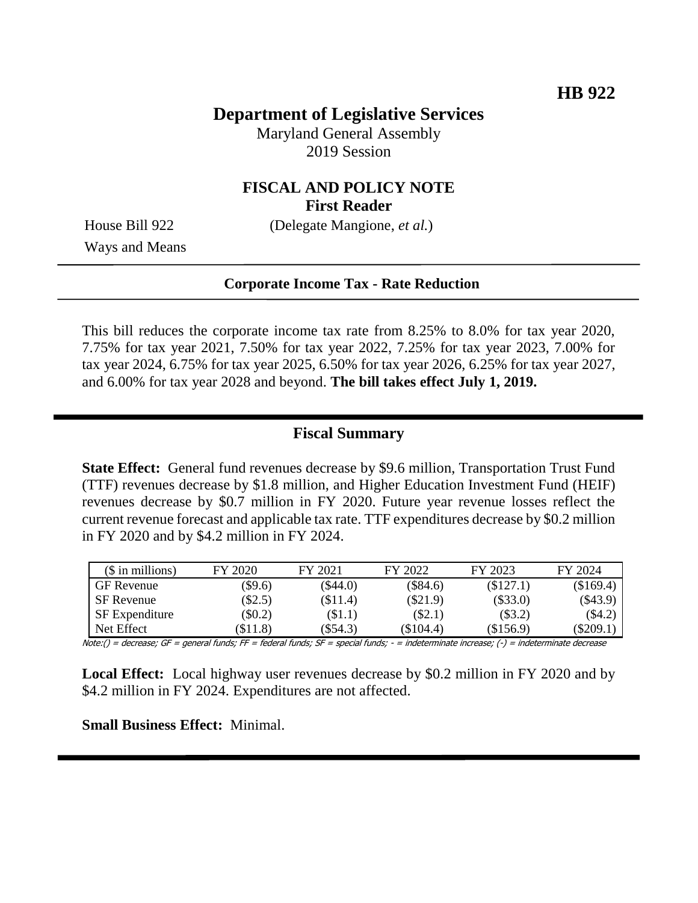# **Department of Legislative Services**

Maryland General Assembly 2019 Session

## **FISCAL AND POLICY NOTE First Reader**

House Bill 922 (Delegate Mangione, *et al.*)

Ways and Means

#### **Corporate Income Tax - Rate Reduction**

This bill reduces the corporate income tax rate from 8.25% to 8.0% for tax year 2020, 7.75% for tax year 2021, 7.50% for tax year 2022, 7.25% for tax year 2023, 7.00% for tax year 2024, 6.75% for tax year 2025, 6.50% for tax year 2026, 6.25% for tax year 2027, and 6.00% for tax year 2028 and beyond. **The bill takes effect July 1, 2019.** 

#### **Fiscal Summary**

**State Effect:** General fund revenues decrease by \$9.6 million, Transportation Trust Fund (TTF) revenues decrease by \$1.8 million, and Higher Education Investment Fund (HEIF) revenues decrease by \$0.7 million in FY 2020. Future year revenue losses reflect the current revenue forecast and applicable tax rate. TTF expenditures decrease by \$0.2 million in FY 2020 and by \$4.2 million in FY 2024.

| $($$ in millions)     | FY 2020  | FY 2021    | FY 2022    | FY 2023     | FY 2024     |
|-----------------------|----------|------------|------------|-------------|-------------|
| <b>GF</b> Revenue     | \$9.6    | $(\$44.0)$ | $(\$84.6)$ | (\$127.1)   | (\$169.4)   |
| <b>SF</b> Revenue     | $\$2.5)$ | $(\$11.4)$ | $(\$21.9)$ | $(\$33.0)$  | $(\$43.9)$  |
| <b>SF</b> Expenditure | $\$0.2)$ | $\$1.1)$   | $(\$2.1)$  | (\$3.2)     | $(\$4.2)$   |
| Net Effect            | \$11.8   | $(\$54.3)$ | (\$104.4)  | $(\$156.9)$ | $(\$209.1)$ |

Note:() = decrease; GF = general funds; FF = federal funds; SF = special funds; - = indeterminate increase; (-) = indeterminate decrease

**Local Effect:** Local highway user revenues decrease by \$0.2 million in FY 2020 and by \$4.2 million in FY 2024. Expenditures are not affected.

**Small Business Effect:** Minimal.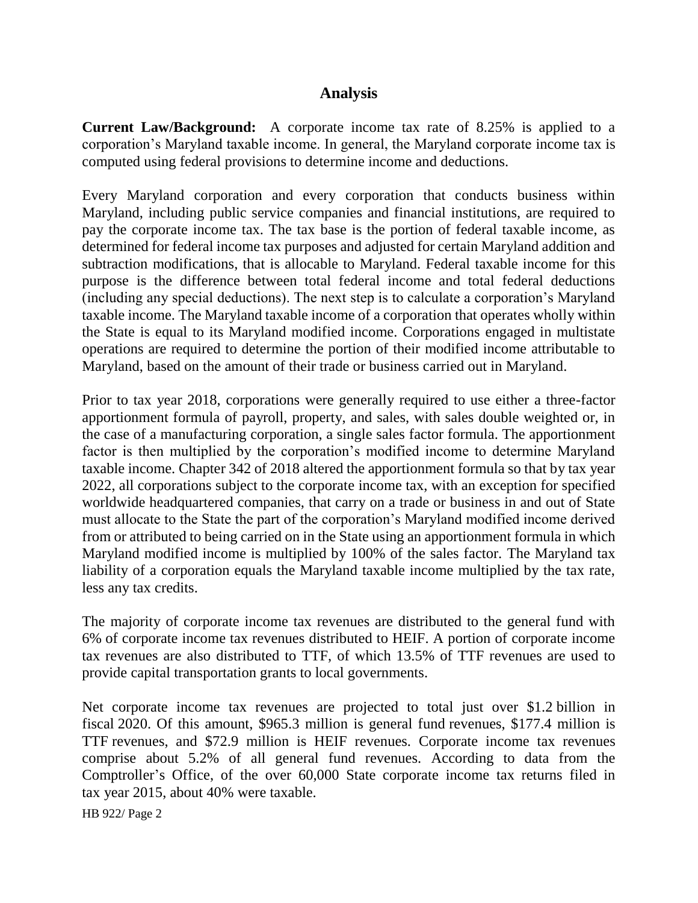#### **Analysis**

**Current Law/Background:** A corporate income tax rate of 8.25% is applied to a corporation's Maryland taxable income. In general, the Maryland corporate income tax is computed using federal provisions to determine income and deductions.

Every Maryland corporation and every corporation that conducts business within Maryland, including public service companies and financial institutions, are required to pay the corporate income tax. The tax base is the portion of federal taxable income, as determined for federal income tax purposes and adjusted for certain Maryland addition and subtraction modifications, that is allocable to Maryland. Federal taxable income for this purpose is the difference between total federal income and total federal deductions (including any special deductions). The next step is to calculate a corporation's Maryland taxable income. The Maryland taxable income of a corporation that operates wholly within the State is equal to its Maryland modified income. Corporations engaged in multistate operations are required to determine the portion of their modified income attributable to Maryland, based on the amount of their trade or business carried out in Maryland.

Prior to tax year 2018, corporations were generally required to use either a three-factor apportionment formula of payroll, property, and sales, with sales double weighted or, in the case of a manufacturing corporation, a single sales factor formula. The apportionment factor is then multiplied by the corporation's modified income to determine Maryland taxable income. Chapter 342 of 2018 altered the apportionment formula so that by tax year 2022, all corporations subject to the corporate income tax, with an exception for specified worldwide headquartered companies, that carry on a trade or business in and out of State must allocate to the State the part of the corporation's Maryland modified income derived from or attributed to being carried on in the State using an apportionment formula in which Maryland modified income is multiplied by 100% of the sales factor. The Maryland tax liability of a corporation equals the Maryland taxable income multiplied by the tax rate, less any tax credits.

The majority of corporate income tax revenues are distributed to the general fund with 6% of corporate income tax revenues distributed to HEIF. A portion of corporate income tax revenues are also distributed to TTF, of which 13.5% of TTF revenues are used to provide capital transportation grants to local governments.

Net corporate income tax revenues are projected to total just over \$1.2 billion in fiscal 2020. Of this amount, \$965.3 million is general fund revenues, \$177.4 million is TTF revenues, and \$72.9 million is HEIF revenues. Corporate income tax revenues comprise about 5.2% of all general fund revenues. According to data from the Comptroller's Office, of the over 60,000 State corporate income tax returns filed in tax year 2015, about 40% were taxable.

HB 922/ Page 2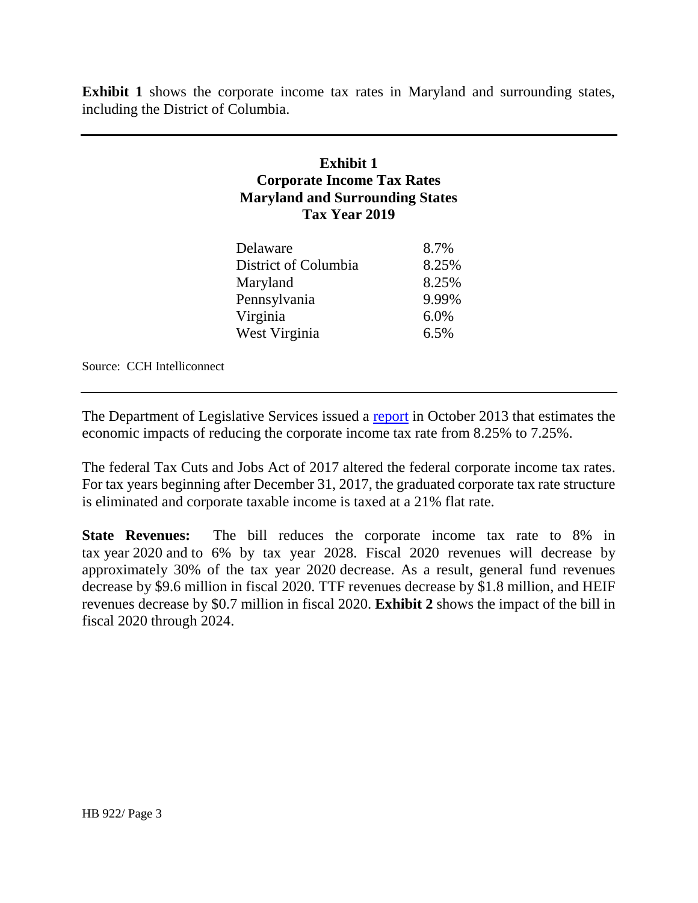**Exhibit 1** shows the corporate income tax rates in Maryland and surrounding states, including the District of Columbia.

## **Exhibit 1 Corporate Income Tax Rates Maryland and Surrounding States Tax Year 2019**

| Delaware             | 8.7%  |
|----------------------|-------|
| District of Columbia | 8.25% |
| Maryland             | 8.25% |
| Pennsylvania         | 9.99% |
| Virginia             | 6.0%  |
| West Virginia        | 6.5%  |
|                      |       |

Source: CCH Intelliconnect

The Department of Legislative Services issued a [report](http://mgaleg.maryland.gov/Pubs/BudgetFiscal/2013-Corporate-Income-Tax-Analysis-Report.pdf) in October 2013 that estimates the economic impacts of reducing the corporate income tax rate from 8.25% to 7.25%.

The federal Tax Cuts and Jobs Act of 2017 altered the federal corporate income tax rates. For tax years beginning after December 31, 2017, the graduated corporate tax rate structure is eliminated and corporate taxable income is taxed at a 21% flat rate.

**State Revenues:** The bill reduces the corporate income tax rate to 8% in tax year 2020 and to 6% by tax year 2028. Fiscal 2020 revenues will decrease by approximately 30% of the tax year 2020 decrease. As a result, general fund revenues decrease by \$9.6 million in fiscal 2020. TTF revenues decrease by \$1.8 million, and HEIF revenues decrease by \$0.7 million in fiscal 2020. **Exhibit 2** shows the impact of the bill in fiscal 2020 through 2024.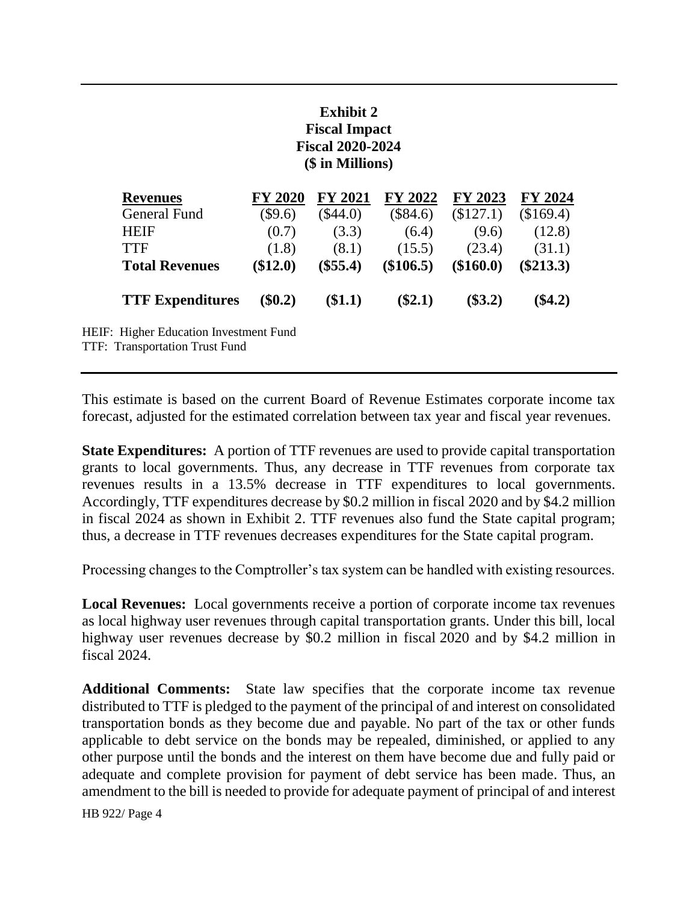## **Exhibit 2 Fiscal Impact Fiscal 2020-2024 (\$ in Millions)**

| <b>Revenues</b>                         | <b>FY 2020</b> | <b>FY 2021</b> | FY 2022     | FY 2023     | <b>FY 2024</b> |
|-----------------------------------------|----------------|----------------|-------------|-------------|----------------|
| General Fund                            | $(\$9.6)$      | $(\$44.0)$     | (\$84.6)    | (\$127.1)   | (\$169.4)      |
| <b>HEIF</b>                             | (0.7)          | (3.3)          | (6.4)       | (9.6)       | (12.8)         |
| <b>TTF</b>                              | (1.8)          | (8.1)          | (15.5)      | (23.4)      | (31.1)         |
| <b>Total Revenues</b>                   | (\$12.0)       | $(\$55.4)$     | $(\$106.5)$ | $(\$160.0)$ | $(\$213.3)$    |
| <b>TTF Expenditures</b>                 | $(\$0.2)$      | \$1.1)         | $(\$2.1)$   | $(\$3.2)$   | $(\$4.2)$      |
| <b>Higher Education Investment Fund</b> |                |                |             |             |                |

TTF: Transportation Trust Fund

HEIF:

This estimate is based on the current Board of Revenue Estimates corporate income tax forecast, adjusted for the estimated correlation between tax year and fiscal year revenues.

**State Expenditures:** A portion of TTF revenues are used to provide capital transportation grants to local governments. Thus, any decrease in TTF revenues from corporate tax revenues results in a 13.5% decrease in TTF expenditures to local governments. Accordingly, TTF expenditures decrease by \$0.2 million in fiscal 2020 and by \$4.2 million in fiscal 2024 as shown in Exhibit 2. TTF revenues also fund the State capital program; thus, a decrease in TTF revenues decreases expenditures for the State capital program.

Processing changes to the Comptroller's tax system can be handled with existing resources.

**Local Revenues:** Local governments receive a portion of corporate income tax revenues as local highway user revenues through capital transportation grants. Under this bill, local highway user revenues decrease by \$0.2 million in fiscal 2020 and by \$4.2 million in fiscal 2024.

**Additional Comments:** State law specifies that the corporate income tax revenue distributed to TTF is pledged to the payment of the principal of and interest on consolidated transportation bonds as they become due and payable. No part of the tax or other funds applicable to debt service on the bonds may be repealed, diminished, or applied to any other purpose until the bonds and the interest on them have become due and fully paid or adequate and complete provision for payment of debt service has been made. Thus, an amendment to the bill is needed to provide for adequate payment of principal of and interest

HB 922/ Page 4